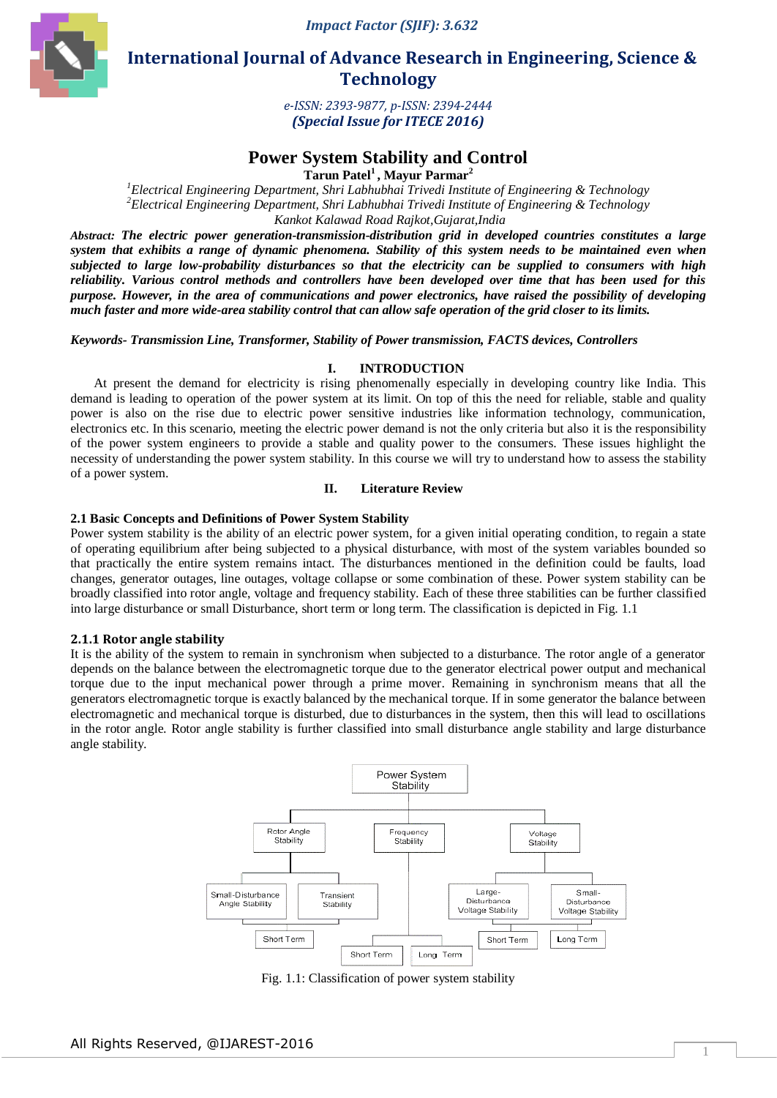*Impact Factor (SJIF): 3.632*



 **International Journal of Advance Research in Engineering, Science & Technology** 

> *e-ISSN: 2393-9877, p-ISSN: 2394-2444 (Special Issue for ITECE 2016)*

# **Power System Stability and Control**

**Tarun Patel<sup>1</sup>, Mayur Parmar<sup>2</sup>**

*<sup>1</sup>Electrical Engineering Department, Shri Labhubhai Trivedi Institute of Engineering & Technology <sup>2</sup>Electrical Engineering Department, Shri Labhubhai Trivedi Institute of Engineering & Technology Kankot Kalawad Road Rajkot,Gujarat,India*

*Abstract: The electric power generation-transmission-distribution grid in developed countries constitutes a large system that exhibits a range of dynamic phenomena. Stability of this system needs to be maintained even when subjected to large low-probability disturbances so that the electricity can be supplied to consumers with high reliability. Various control methods and controllers have been developed over time that has been used for this purpose. However, in the area of communications and power electronics, have raised the possibility of developing much faster and more wide-area stability control that can allow safe operation of the grid closer to its limits.*

*Keywords- Transmission Line, Transformer, Stability of Power transmission, FACTS devices, Controllers*

## **I. INTRODUCTION**

At present the demand for electricity is rising phenomenally especially in developing country like India. This demand is leading to operation of the power system at its limit. On top of this the need for reliable, stable and quality power is also on the rise due to electric power sensitive industries like information technology, communication, electronics etc. In this scenario, meeting the electric power demand is not the only criteria but also it is the responsibility of the power system engineers to provide a stable and quality power to the consumers. These issues highlight the necessity of understanding the power system stability. In this course we will try to understand how to assess the stability of a power system.

## **II. Literature Review**

## **2.1 Basic Concepts and Definitions of Power System Stability**

Power system stability is the ability of an electric power system, for a given initial operating condition, to regain a state of operating equilibrium after being subjected to a physical disturbance, with most of the system variables bounded so that practically the entire system remains intact. The disturbances mentioned in the definition could be faults, load changes, generator outages, line outages, voltage collapse or some combination of these. Power system stability can be broadly classified into rotor angle, voltage and frequency stability. Each of these three stabilities can be further classified into large disturbance or small Disturbance, short term or long term. The classification is depicted in Fig. 1.1

### **2.1.1 Rotor angle stability**

It is the ability of the system to remain in synchronism when subjected to a disturbance. The rotor angle of a generator depends on the balance between the electromagnetic torque due to the generator electrical power output and mechanical torque due to the input mechanical power through a prime mover. Remaining in synchronism means that all the generators electromagnetic torque is exactly balanced by the mechanical torque. If in some generator the balance between electromagnetic and mechanical torque is disturbed, due to disturbances in the system, then this will lead to oscillations in the rotor angle. Rotor angle stability is further classified into small disturbance angle stability and large disturbance angle stability.



Fig. 1.1: Classification of power system stability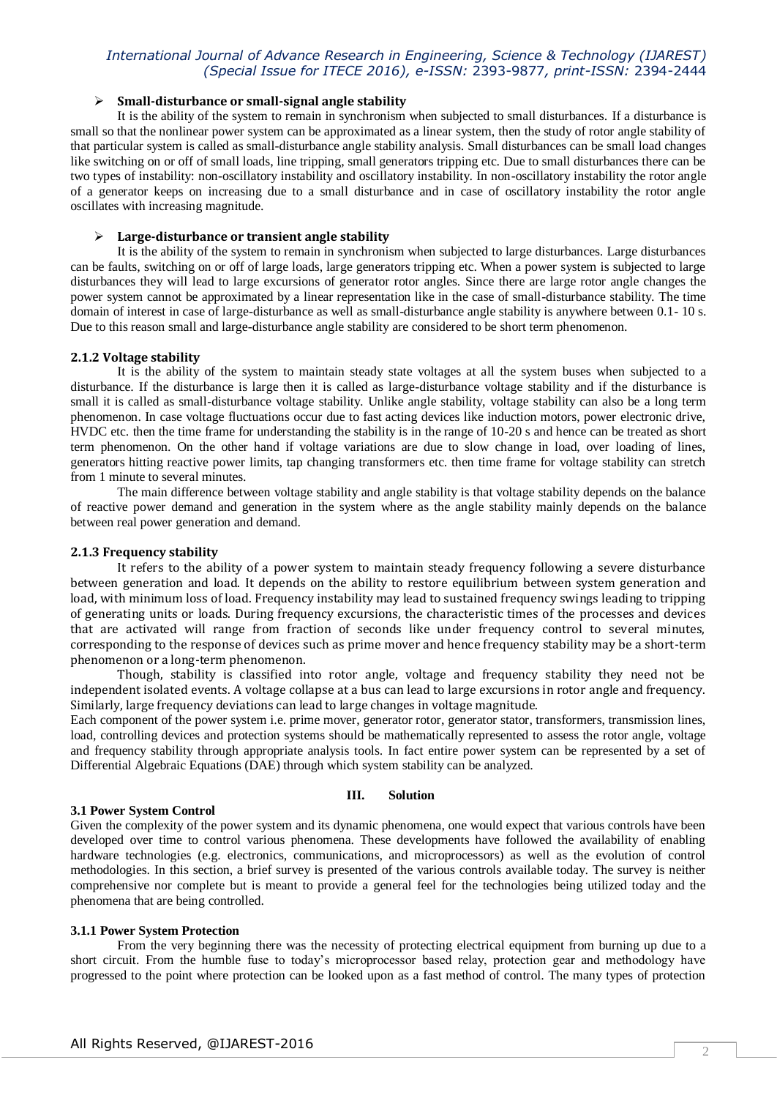## *International Journal of Advance Research in Engineering, Science & Technology (IJAREST) (Special Issue for ITECE 2016), e-ISSN:* 2393-9877*, print-ISSN:* 2394-2444

## **Small-disturbance or small-signal angle stability**

It is the ability of the system to remain in synchronism when subjected to small disturbances. If a disturbance is small so that the nonlinear power system can be approximated as a linear system, then the study of rotor angle stability of that particular system is called as small-disturbance angle stability analysis. Small disturbances can be small load changes like switching on or off of small loads, line tripping, small generators tripping etc. Due to small disturbances there can be two types of instability: non-oscillatory instability and oscillatory instability. In non-oscillatory instability the rotor angle of a generator keeps on increasing due to a small disturbance and in case of oscillatory instability the rotor angle oscillates with increasing magnitude.

## **Large-disturbance or transient angle stability**

It is the ability of the system to remain in synchronism when subjected to large disturbances. Large disturbances can be faults, switching on or off of large loads, large generators tripping etc. When a power system is subjected to large disturbances they will lead to large excursions of generator rotor angles. Since there are large rotor angle changes the power system cannot be approximated by a linear representation like in the case of small-disturbance stability. The time domain of interest in case of large-disturbance as well as small-disturbance angle stability is anywhere between 0.1- 10 s. Due to this reason small and large-disturbance angle stability are considered to be short term phenomenon.

## **2.1.2 Voltage stability**

It is the ability of the system to maintain steady state voltages at all the system buses when subjected to a disturbance. If the disturbance is large then it is called as large-disturbance voltage stability and if the disturbance is small it is called as small-disturbance voltage stability. Unlike angle stability, voltage stability can also be a long term phenomenon. In case voltage fluctuations occur due to fast acting devices like induction motors, power electronic drive, HVDC etc. then the time frame for understanding the stability is in the range of 10-20 s and hence can be treated as short term phenomenon. On the other hand if voltage variations are due to slow change in load, over loading of lines, generators hitting reactive power limits, tap changing transformers etc. then time frame for voltage stability can stretch from 1 minute to several minutes.

The main difference between voltage stability and angle stability is that voltage stability depends on the balance of reactive power demand and generation in the system where as the angle stability mainly depends on the balance between real power generation and demand.

## **2.1.3 Frequency stability**

It refers to the ability of a power system to maintain steady frequency following a severe disturbance between generation and load. It depends on the ability to restore equilibrium between system generation and load, with minimum loss of load. Frequency instability may lead to sustained frequency swings leading to tripping of generating units or loads. During frequency excursions, the characteristic times of the processes and devices that are activated will range from fraction of seconds like under frequency control to several minutes, corresponding to the response of devices such as prime mover and hence frequency stability may be a short-term phenomenon or a long-term phenomenon.

Though, stability is classified into rotor angle, voltage and frequency stability they need not be independent isolated events. A voltage collapse at a bus can lead to large excursions in rotor angle and frequency. Similarly, large frequency deviations can lead to large changes in voltage magnitude.

Each component of the power system i.e. prime mover, generator rotor, generator stator, transformers, transmission lines, load, controlling devices and protection systems should be mathematically represented to assess the rotor angle, voltage and frequency stability through appropriate analysis tools. In fact entire power system can be represented by a set of Differential Algebraic Equations (DAE) through which system stability can be analyzed.

### **III. Solution**

### **3.1 Power System Control**

Given the complexity of the power system and its dynamic phenomena, one would expect that various controls have been developed over time to control various phenomena. These developments have followed the availability of enabling hardware technologies (e.g. electronics, communications, and microprocessors) as well as the evolution of control methodologies. In this section, a brief survey is presented of the various controls available today. The survey is neither comprehensive nor complete but is meant to provide a general feel for the technologies being utilized today and the phenomena that are being controlled.

### **3.1.1 Power System Protection**

From the very beginning there was the necessity of protecting electrical equipment from burning up due to a short circuit. From the humble fuse to today's microprocessor based relay, protection gear and methodology have progressed to the point where protection can be looked upon as a fast method of control. The many types of protection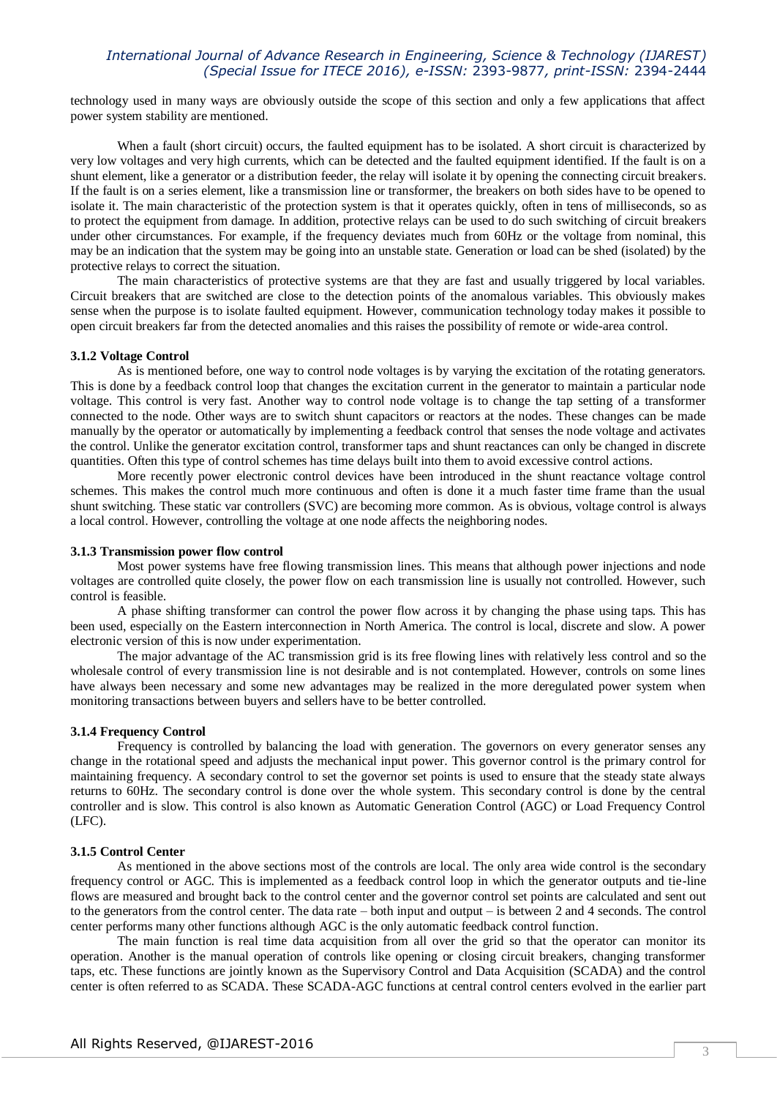## *International Journal of Advance Research in Engineering, Science & Technology (IJAREST) (Special Issue for ITECE 2016), e-ISSN:* 2393-9877*, print-ISSN:* 2394-2444

technology used in many ways are obviously outside the scope of this section and only a few applications that affect power system stability are mentioned.

When a fault (short circuit) occurs, the faulted equipment has to be isolated. A short circuit is characterized by very low voltages and very high currents, which can be detected and the faulted equipment identified. If the fault is on a shunt element, like a generator or a distribution feeder, the relay will isolate it by opening the connecting circuit breakers. If the fault is on a series element, like a transmission line or transformer, the breakers on both sides have to be opened to isolate it. The main characteristic of the protection system is that it operates quickly, often in tens of milliseconds, so as to protect the equipment from damage. In addition, protective relays can be used to do such switching of circuit breakers under other circumstances. For example, if the frequency deviates much from 60Hz or the voltage from nominal, this may be an indication that the system may be going into an unstable state. Generation or load can be shed (isolated) by the protective relays to correct the situation.

The main characteristics of protective systems are that they are fast and usually triggered by local variables. Circuit breakers that are switched are close to the detection points of the anomalous variables. This obviously makes sense when the purpose is to isolate faulted equipment. However, communication technology today makes it possible to open circuit breakers far from the detected anomalies and this raises the possibility of remote or wide-area control.

## **3.1.2 Voltage Control**

As is mentioned before, one way to control node voltages is by varying the excitation of the rotating generators. This is done by a feedback control loop that changes the excitation current in the generator to maintain a particular node voltage. This control is very fast. Another way to control node voltage is to change the tap setting of a transformer connected to the node. Other ways are to switch shunt capacitors or reactors at the nodes. These changes can be made manually by the operator or automatically by implementing a feedback control that senses the node voltage and activates the control. Unlike the generator excitation control, transformer taps and shunt reactances can only be changed in discrete quantities. Often this type of control schemes has time delays built into them to avoid excessive control actions.

More recently power electronic control devices have been introduced in the shunt reactance voltage control schemes. This makes the control much more continuous and often is done it a much faster time frame than the usual shunt switching. These static var controllers (SVC) are becoming more common. As is obvious, voltage control is always a local control. However, controlling the voltage at one node affects the neighboring nodes.

## **3.1.3 Transmission power flow control**

Most power systems have free flowing transmission lines. This means that although power injections and node voltages are controlled quite closely, the power flow on each transmission line is usually not controlled. However, such control is feasible.

A phase shifting transformer can control the power flow across it by changing the phase using taps. This has been used, especially on the Eastern interconnection in North America. The control is local, discrete and slow. A power electronic version of this is now under experimentation.

The major advantage of the AC transmission grid is its free flowing lines with relatively less control and so the wholesale control of every transmission line is not desirable and is not contemplated. However, controls on some lines have always been necessary and some new advantages may be realized in the more deregulated power system when monitoring transactions between buyers and sellers have to be better controlled.

#### **3.1.4 Frequency Control**

Frequency is controlled by balancing the load with generation. The governors on every generator senses any change in the rotational speed and adjusts the mechanical input power. This governor control is the primary control for maintaining frequency. A secondary control to set the governor set points is used to ensure that the steady state always returns to 60Hz. The secondary control is done over the whole system. This secondary control is done by the central controller and is slow. This control is also known as Automatic Generation Control (AGC) or Load Frequency Control (LFC).

## **3.1.5 Control Center**

As mentioned in the above sections most of the controls are local. The only area wide control is the secondary frequency control or AGC. This is implemented as a feedback control loop in which the generator outputs and tie-line flows are measured and brought back to the control center and the governor control set points are calculated and sent out to the generators from the control center. The data rate – both input and output – is between 2 and 4 seconds. The control center performs many other functions although AGC is the only automatic feedback control function.

The main function is real time data acquisition from all over the grid so that the operator can monitor its operation. Another is the manual operation of controls like opening or closing circuit breakers, changing transformer taps, etc. These functions are jointly known as the Supervisory Control and Data Acquisition (SCADA) and the control center is often referred to as SCADA. These SCADA-AGC functions at central control centers evolved in the earlier part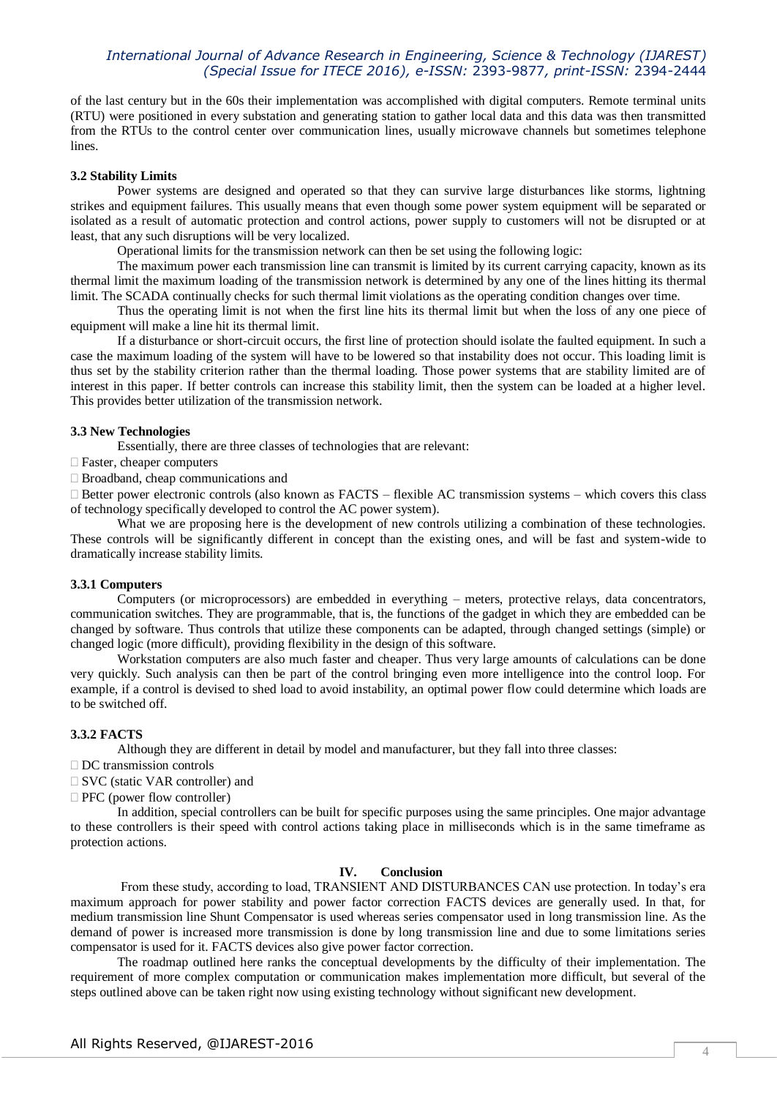## *International Journal of Advance Research in Engineering, Science & Technology (IJAREST) (Special Issue for ITECE 2016), e-ISSN:* 2393-9877*, print-ISSN:* 2394-2444

of the last century but in the 60s their implementation was accomplished with digital computers. Remote terminal units (RTU) were positioned in every substation and generating station to gather local data and this data was then transmitted from the RTUs to the control center over communication lines, usually microwave channels but sometimes telephone lines.

#### **3.2 Stability Limits**

Power systems are designed and operated so that they can survive large disturbances like storms, lightning strikes and equipment failures. This usually means that even though some power system equipment will be separated or isolated as a result of automatic protection and control actions, power supply to customers will not be disrupted or at least, that any such disruptions will be very localized.

Operational limits for the transmission network can then be set using the following logic:

The maximum power each transmission line can transmit is limited by its current carrying capacity, known as its thermal limit the maximum loading of the transmission network is determined by any one of the lines hitting its thermal limit. The SCADA continually checks for such thermal limit violations as the operating condition changes over time.

Thus the operating limit is not when the first line hits its thermal limit but when the loss of any one piece of equipment will make a line hit its thermal limit.

If a disturbance or short-circuit occurs, the first line of protection should isolate the faulted equipment. In such a case the maximum loading of the system will have to be lowered so that instability does not occur. This loading limit is thus set by the stability criterion rather than the thermal loading. Those power systems that are stability limited are of interest in this paper. If better controls can increase this stability limit, then the system can be loaded at a higher level. This provides better utilization of the transmission network.

#### **3.3 New Technologies**

Essentially, there are three classes of technologies that are relevant:

- Faster, cheaper computers
- □ Broadband, cheap communications and

 $\Box$  Better power electronic controls (also known as FACTS – flexible AC transmission systems – which covers this class of technology specifically developed to control the AC power system).

What we are proposing here is the development of new controls utilizing a combination of these technologies. These controls will be significantly different in concept than the existing ones, and will be fast and system-wide to dramatically increase stability limits.

#### **3.3.1 Computers**

Computers (or microprocessors) are embedded in everything – meters, protective relays, data concentrators, communication switches. They are programmable, that is, the functions of the gadget in which they are embedded can be changed by software. Thus controls that utilize these components can be adapted, through changed settings (simple) or changed logic (more difficult), providing flexibility in the design of this software.

Workstation computers are also much faster and cheaper. Thus very large amounts of calculations can be done very quickly. Such analysis can then be part of the control bringing even more intelligence into the control loop. For example, if a control is devised to shed load to avoid instability, an optimal power flow could determine which loads are to be switched off.

#### **3.3.2 FACTS**

Although they are different in detail by model and manufacturer, but they fall into three classes:

- $\Box$  DC transmission controls
- □ SVC (static VAR controller) and

 $\Box$  PFC (power flow controller)

In addition, special controllers can be built for specific purposes using the same principles. One major advantage to these controllers is their speed with control actions taking place in milliseconds which is in the same timeframe as protection actions.

## **IV. Conclusion**

From these study, according to load, TRANSIENT AND DISTURBANCES CAN use protection. In today's era maximum approach for power stability and power factor correction FACTS devices are generally used. In that, for medium transmission line Shunt Compensator is used whereas series compensator used in long transmission line. As the demand of power is increased more transmission is done by long transmission line and due to some limitations series compensator is used for it. FACTS devices also give power factor correction.

The roadmap outlined here ranks the conceptual developments by the difficulty of their implementation. The requirement of more complex computation or communication makes implementation more difficult, but several of the steps outlined above can be taken right now using existing technology without significant new development.